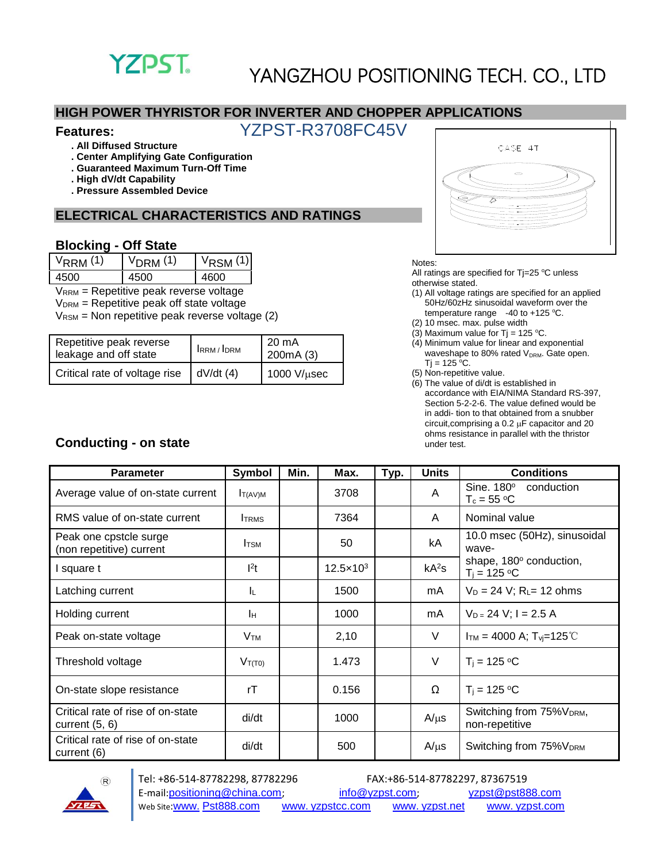

#### **HIGH POWER THYRISTOR FOR INVERTER AND CHOPPER APPLICATIONS**

### **Features:** YZPST-R3708FC45V

- **. All Diffused Structure**
- **. Center Amplifying Gate Configuration**
- **. Guaranteed Maximum Turn-Off Time**
- **. High dV/dt Capability**
- **. Pressure Assembled Device**

### **ELECTRICAL CHARACTERISTICS AND RATINGS**

#### **Blocking - Off State**

| $V_{RRM}$ (1) | $VDRM$ (1) | $V_{\text{RSM}}(1)$ |
|---------------|------------|---------------------|
| 4500          | 1500.      | 4600                |

VRRM = Repetitive peak reverse voltage

 $V<sub>DRM</sub>$  = Repetitive peak off state voltage

 $V_{\text{RSM}}$  = Non repetitive peak reverse voltage (2)

| Repetitive peak reverse<br>leakage and off state | IRRM/IDRM | 20 mA<br>200mA(3)   |  |
|--------------------------------------------------|-----------|---------------------|--|
| Critical rate of voltage rise                    | dV/dt(4)  | $1000$ V/ $\mu$ sec |  |



Notes:

All ratings are specified for  $Tj=25$  °C unless otherwise stated.

- (1) All voltage ratings are specified for an applied 50Hz/60zHz sinusoidal waveform over the temperature range  $-40$  to  $+125$  °C.
- (2) 10 msec. max. pulse width
- (3) Maximum value for Tj = 125 °C.
- (4) Minimum value for linear and exponential waveshape to 80% rated V<sub>DRM</sub>. Gate open.  $Ti = 125 °C$ .
- (5) Non-repetitive value.
- (6) The value of di/dt is established in accordance with EIA/NIMA Standard RS-397, Section 5-2-2-6. The value defined would be in addi- tion to that obtained from a snubber circuit, comprising a  $0.2 \mu$ F capacitor and 20 ohms resistance in parallel with the thristor under test.

| $I_{T(AV)M}$<br><b>TRMS</b><br><b>I</b> TSM | 3708<br>7364       | Typ. | A<br>A                             | Sine. 180°<br>conduction<br>$T_c = 55 °C$<br>Nominal value |
|---------------------------------------------|--------------------|------|------------------------------------|------------------------------------------------------------|
|                                             |                    |      |                                    |                                                            |
|                                             |                    |      |                                    |                                                            |
|                                             | 50                 |      | kA                                 | 10.0 msec (50Hz), sinusoidal<br>wave-                      |
| $l^2t$                                      | $12.5 \times 10^3$ |      | kA <sup>2</sup> S                  | shape, 180° conduction,<br>$T_i = 125 °C$                  |
| ΙL.                                         | 1500               |      | mA                                 | $V_D = 24 V$ ; R <sub>L</sub> = 12 ohms                    |
| Iн                                          | 1000               |      | mA                                 | $V_{D=}$ 24 V; I = 2.5 A                                   |
| V <sub>TM</sub>                             | V<br>2,10          |      | $I_{TM}$ = 4000 A; $T_{yi}$ =125°C |                                                            |
| $V_{T(T0)}$                                 | 1.473              |      | V                                  | $T_i = 125 °C$                                             |
| rT                                          | 0.156              |      | Ω                                  | $T_i = 125 °C$                                             |
| di/dt                                       | 1000               |      | $A/\mu s$                          | Switching from 75% V <sub>DRM</sub> ,<br>non-repetitive    |
| di/dt                                       | 500                |      | $A/\mu s$                          | Switching from 75% V <sub>DRM</sub>                        |
|                                             |                    |      |                                    |                                                            |



### **Conducting - on state**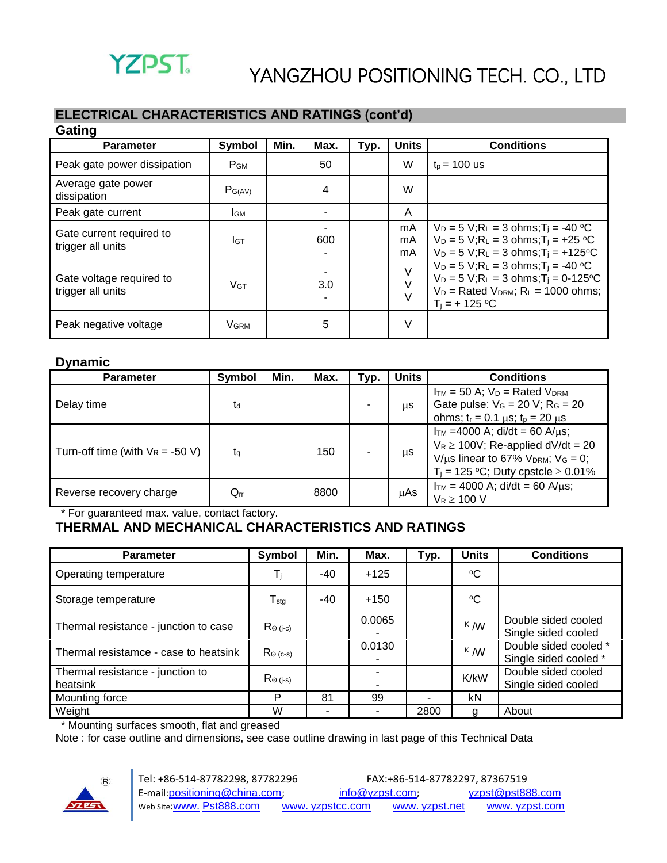### **ELECTRICAL CHARACTERISTICS AND RATINGS (cont'd)**

| Gating                                        |                       |      |      |      |                |                                                                                                                                                                                                                 |  |  |
|-----------------------------------------------|-----------------------|------|------|------|----------------|-----------------------------------------------------------------------------------------------------------------------------------------------------------------------------------------------------------------|--|--|
| <b>Parameter</b>                              | Symbol                | Min. | Max. | Typ. | <b>Units</b>   | <b>Conditions</b>                                                                                                                                                                                               |  |  |
| Peak gate power dissipation                   | P <sub>GM</sub>       |      | 50   |      | W              | $t_p = 100$ us                                                                                                                                                                                                  |  |  |
| Average gate power<br>dissipation             | $P_{G(AV)}$           |      | 4    |      | W              |                                                                                                                                                                                                                 |  |  |
| Peak gate current                             | Iсм                   |      |      |      | A              |                                                                                                                                                                                                                 |  |  |
| Gate current required to<br>trigger all units | Iст                   |      | 600  |      | mA<br>mA<br>mA | $V_D = 5 V; R_L = 3 ohms; T_i = -40 °C$<br>$V_D = 5 V$ ; R <sub>L</sub> = 3 ohms; T <sub>i</sub> = +25 °C<br>$V_D = 5 V; R_L = 3 ohms; T_i = +125°C$                                                            |  |  |
| Gate voltage required to<br>trigger all units | <b>V<sub>GT</sub></b> |      | 3.0  |      | $\vee$         | $V_D = 5 V$ ; R <sub>L</sub> = 3 ohms; T <sub>i</sub> = -40 °C<br>$V_D = 5 V$ ; R <sub>L</sub> = 3 ohms; T <sub>i</sub> = 0-125 °C<br>$V_D$ = Rated $V_{DRM}$ ; R <sub>L</sub> = 1000 ohms;<br>$T_i = + 125 °C$ |  |  |
| Peak negative voltage                         | <b>VGRM</b>           |      | 5    |      | $\vee$         |                                                                                                                                                                                                                 |  |  |

#### **Dynamic**

| <b>Parameter</b>                    | Symbol   | Min. | Max. | Typ. | Units | <b>Conditions</b>                                                                                                                                                                   |
|-------------------------------------|----------|------|------|------|-------|-------------------------------------------------------------------------------------------------------------------------------------------------------------------------------------|
| Delay time                          | td       |      |      |      | μS    | $I_{TM}$ = 50 A; $V_D$ = Rated $V_{DRM}$<br>Gate pulse: $V_G = 20 V$ ; $R_G = 20$<br>ohms; $t_r = 0.1 \mu s$ ; $t_p = 20 \mu s$                                                     |
| Turn-off time (with $V_R = -50 V$ ) | ta       |      | 150  |      | μS    | $I_{TM}$ =4000 A; di/dt = 60 A/ $\mu$ s;<br>$V_R \ge 100V$ ; Re-applied dV/dt = 20<br>$V/\mu s$ linear to 67% $V_{DRM}$ ; $V_G = 0$ ;<br>$T_i = 125$ °C; Duty cpstcle $\geq 0.01\%$ |
| Reverse recovery charge             | $Q_{rr}$ |      | 8800 |      | μAs   | $I_{TM}$ = 4000 A; di/dt = 60 A/us;<br>$V_R \ge 100$ V                                                                                                                              |

\* For guaranteed max. value, contact factory.

### **THERMAL AND MECHANICAL CHARACTERISTICS AND RATINGS**

| <b>Parameter</b>                             | Symbol                              | Min.  | Max.   | Typ.                     | <b>Units</b> | <b>Conditions</b>                              |
|----------------------------------------------|-------------------------------------|-------|--------|--------------------------|--------------|------------------------------------------------|
| Operating temperature                        | Ti                                  | $-40$ | $+125$ |                          | $\rm ^{o}C$  |                                                |
| Storage temperature                          | $\mathsf{T}_{\text{stg}}$           | $-40$ | $+150$ |                          | $\rm ^{o}C$  |                                                |
| Thermal resistance - junction to case        | $Re(i-c)$                           |       | 0.0065 |                          | $K$ M        | Double sided cooled<br>Single sided cooled     |
| Thermal resistamce - case to heatsink        | $\mathsf{R}_{\Theta\,(\text{c-s})}$ |       | 0.0130 |                          | $K$ M        | Double sided cooled *<br>Single sided cooled * |
| Thermal resistance - junction to<br>heatsink | $Re(i-s)$                           |       |        |                          | K/kW         | Double sided cooled<br>Single sided cooled     |
| Mounting force                               | P                                   | 81    | 99     | $\overline{\phantom{0}}$ | kN           |                                                |
| Weight                                       | W                                   | ۰     |        | 2800                     | g            | About                                          |

\* Mounting surfaces smooth, flat and greased

Note : for case outline and dimensions, see case outline drawing in last page of this Technical Data

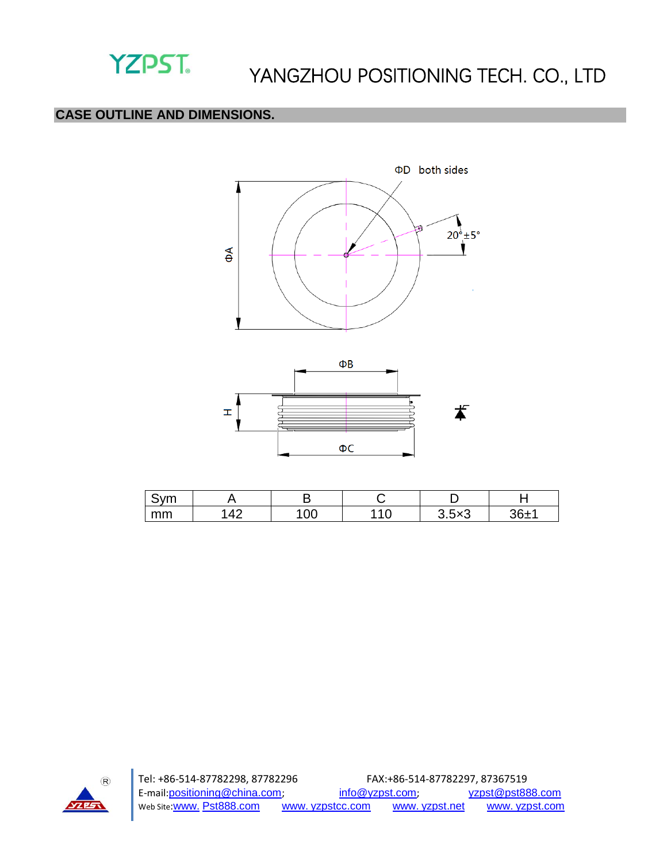

### **CASE OUTLINE AND DIMENSIONS.**





| $\sim$<br>. |            |              |                           |      |
|-------------|------------|--------------|---------------------------|------|
| mm          | $\sqrt{2}$ | ົ $\Omega$ ດ | -<br>╭<br>$\sim$<br>ว.ວxວ | $-1$ |